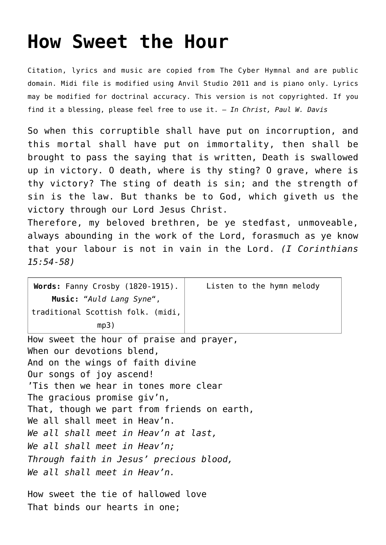## **[How Sweet the Hour](http://reproachofmen.org/hymns-and-music/how-sweet-the-hour/)**

Citation, lyrics and music are copied from [The Cyber Hymnal](http://www.hymntime.com/tch/index.htm) and are public domain. Midi file is modified using Anvil Studio 2011 and is piano only. Lyrics may be modified for doctrinal accuracy. This version is not copyrighted. If you find it a blessing, please feel free to use it. — *In Christ, Paul W. Davis*

So when this corruptible shall have put on incorruption, and this mortal shall have put on immortality, then shall be brought to pass the saying that is written, Death is swallowed up in victory. O death, where is thy sting? O grave, where is thy victory? The sting of death is sin; and the strength of sin is the law. But thanks be to God, which giveth us the victory through our Lord Jesus Christ.

Therefore, my beloved brethren, be ye stedfast, unmoveable, always abounding in the work of the Lord, forasmuch as ye know that your labour is not in vain in the Lord. *(I Corinthians 15:54-58)*

| Words: Fanny Crosby (1820-1915).<br>Music: "Auld Lang Syne",<br>traditional Scottish folk. (midi, | Listen to the hymn melody |
|---------------------------------------------------------------------------------------------------|---------------------------|
|                                                                                                   |                           |
| mp3)                                                                                              |                           |
| How sweet the hour of praise and prayer,                                                          |                           |
| When our devotions blend,                                                                         |                           |
| And on the wings of faith divine                                                                  |                           |
| Our songs of joy ascend!                                                                          |                           |
| 'Tis then we hear in tones more clear                                                             |                           |
| The gracious promise giv'n,                                                                       |                           |
| That, though we part from friends on earth,                                                       |                           |
| We all shall meet in Heav'n.                                                                      |                           |
| We all shall meet in Heav'n at last,                                                              |                           |
| We all shall meet in Heav'n;                                                                      |                           |
| Through faith in Jesus' precious blood,                                                           |                           |
| We all shall meet in Heav'n.                                                                      |                           |
|                                                                                                   |                           |

How sweet the tie of hallowed love That binds our hearts in one;